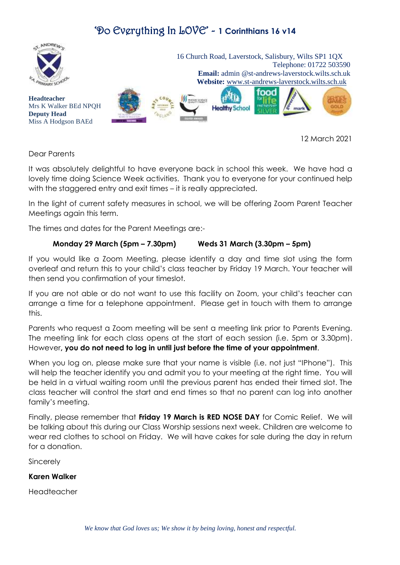## 'Do Everything In LOVE' - **1 Corinthians 16 v14**



12 March 2021

Dear Parents

It was absolutely delightful to have everyone back in school this week. We have had a lovely time doing Science Week activities. Thank you to everyone for your continued help with the staggered entry and exit times – it is really appreciated.

In the light of current safety measures in school, we will be offering Zoom Parent Teacher Meetings again this term.

The times and dates for the Parent Meetings are:-

#### **Monday 29 March (5pm – 7.30pm) Weds 31 March (3.30pm – 5pm)**

If you would like a Zoom Meeting, please identify a day and time slot using the form overleaf and return this to your child's class teacher by Friday 19 March. Your teacher will then send you confirmation of your timeslot.

If you are not able or do not want to use this facility on Zoom, your child's teacher can arrange a time for a telephone appointment. Please get in touch with them to arrange this.

Parents who request a Zoom meeting will be sent a meeting link prior to Parents Evening. The meeting link for each class opens at the start of each session (i.e. 5pm or 3.30pm). However**, you do not need to log in until just before the time of your appointment**.

When you log on, please make sure that your name is visible (i.e. not just "IPhone"). This will help the teacher identify you and admit you to your meeting at the right time. You will be held in a virtual waiting room until the previous parent has ended their timed slot. The class teacher will control the start and end times so that no parent can log into another family's meeting.

Finally, please remember that **Friday 19 March is RED NOSE DAY** for Comic Relief. We will be talking about this during our Class Worship sessions next week. Children are welcome to wear red clothes to school on Friday. We will have cakes for sale during the day in return for a donation.

**Sincerely** 

#### **Karen Walker**

Headteacher